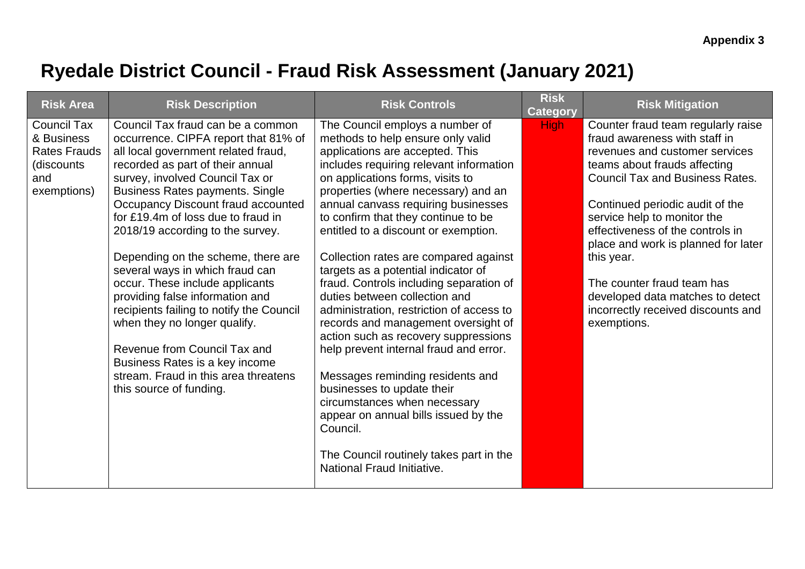## **Ryedale District Council - Fraud Risk Assessment (January 2021)**

| <b>Risk Area</b>                                                                             | <b>Risk Description</b>                                                                                                                                                                                                                                                                                                                                                                                                                                                                                                                                                                                                                                                                                           | <b>Risk Controls</b>                                                                                                                                                                                                                                                                                                                                                                                                                                                                                                                                                                                                                                                                                                                                                                                                                                                                                                | <b>Risk</b><br><b>Category</b> | <b>Risk Mitigation</b>                                                                                                                                                                                                                                                                                                                                                                                                                                            |
|----------------------------------------------------------------------------------------------|-------------------------------------------------------------------------------------------------------------------------------------------------------------------------------------------------------------------------------------------------------------------------------------------------------------------------------------------------------------------------------------------------------------------------------------------------------------------------------------------------------------------------------------------------------------------------------------------------------------------------------------------------------------------------------------------------------------------|---------------------------------------------------------------------------------------------------------------------------------------------------------------------------------------------------------------------------------------------------------------------------------------------------------------------------------------------------------------------------------------------------------------------------------------------------------------------------------------------------------------------------------------------------------------------------------------------------------------------------------------------------------------------------------------------------------------------------------------------------------------------------------------------------------------------------------------------------------------------------------------------------------------------|--------------------------------|-------------------------------------------------------------------------------------------------------------------------------------------------------------------------------------------------------------------------------------------------------------------------------------------------------------------------------------------------------------------------------------------------------------------------------------------------------------------|
| <b>Council Tax</b><br>& Business<br><b>Rates Frauds</b><br>(discounts)<br>and<br>exemptions) | Council Tax fraud can be a common<br>occurrence. CIPFA report that 81% of<br>all local government related fraud,<br>recorded as part of their annual<br>survey, involved Council Tax or<br><b>Business Rates payments. Single</b><br>Occupancy Discount fraud accounted<br>for £19.4m of loss due to fraud in<br>2018/19 according to the survey.<br>Depending on the scheme, there are<br>several ways in which fraud can<br>occur. These include applicants<br>providing false information and<br>recipients failing to notify the Council<br>when they no longer qualify.<br>Revenue from Council Tax and<br>Business Rates is a key income<br>stream. Fraud in this area threatens<br>this source of funding. | The Council employs a number of<br>methods to help ensure only valid<br>applications are accepted. This<br>includes requiring relevant information<br>on applications forms, visits to<br>properties (where necessary) and an<br>annual canvass requiring businesses<br>to confirm that they continue to be<br>entitled to a discount or exemption.<br>Collection rates are compared against<br>targets as a potential indicator of<br>fraud. Controls including separation of<br>duties between collection and<br>administration, restriction of access to<br>records and management oversight of<br>action such as recovery suppressions<br>help prevent internal fraud and error.<br>Messages reminding residents and<br>businesses to update their<br>circumstances when necessary<br>appear on annual bills issued by the<br>Council.<br>The Council routinely takes part in the<br>National Fraud Initiative. | <b>High</b>                    | Counter fraud team regularly raise<br>fraud awareness with staff in<br>revenues and customer services<br>teams about frauds affecting<br><b>Council Tax and Business Rates.</b><br>Continued periodic audit of the<br>service help to monitor the<br>effectiveness of the controls in<br>place and work is planned for later<br>this year.<br>The counter fraud team has<br>developed data matches to detect<br>incorrectly received discounts and<br>exemptions. |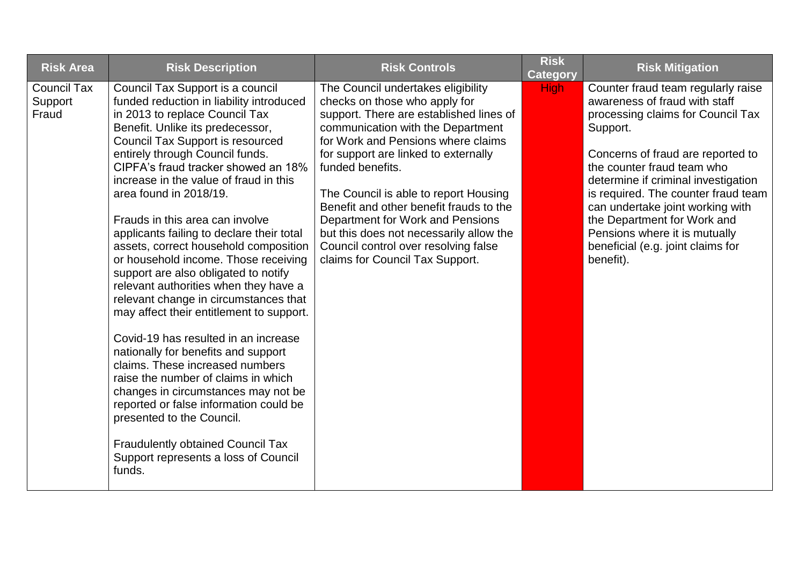| <b>Risk Area</b>                       | <b>Risk Description</b>                                                                                                                                                                                                                                                                                                                                                                                                                                                                                                                                                                                                                                                                                                                                                                                                                                                                                                                                                                                                                                 | <b>Risk Controls</b>                                                                                                                                                                                                                                                                                                                                                                                                                                                                                | <b>Risk</b><br><b>Category</b> | <b>Risk Mitigation</b>                                                                                                                                                                                                                                                                                                                                                                                                      |
|----------------------------------------|---------------------------------------------------------------------------------------------------------------------------------------------------------------------------------------------------------------------------------------------------------------------------------------------------------------------------------------------------------------------------------------------------------------------------------------------------------------------------------------------------------------------------------------------------------------------------------------------------------------------------------------------------------------------------------------------------------------------------------------------------------------------------------------------------------------------------------------------------------------------------------------------------------------------------------------------------------------------------------------------------------------------------------------------------------|-----------------------------------------------------------------------------------------------------------------------------------------------------------------------------------------------------------------------------------------------------------------------------------------------------------------------------------------------------------------------------------------------------------------------------------------------------------------------------------------------------|--------------------------------|-----------------------------------------------------------------------------------------------------------------------------------------------------------------------------------------------------------------------------------------------------------------------------------------------------------------------------------------------------------------------------------------------------------------------------|
| <b>Council Tax</b><br>Support<br>Fraud | Council Tax Support is a council<br>funded reduction in liability introduced<br>in 2013 to replace Council Tax<br>Benefit. Unlike its predecessor,<br><b>Council Tax Support is resourced</b><br>entirely through Council funds.<br>CIPFA's fraud tracker showed an 18%<br>increase in the value of fraud in this<br>area found in 2018/19.<br>Frauds in this area can involve<br>applicants failing to declare their total<br>assets, correct household composition<br>or household income. Those receiving<br>support are also obligated to notify<br>relevant authorities when they have a<br>relevant change in circumstances that<br>may affect their entitlement to support.<br>Covid-19 has resulted in an increase<br>nationally for benefits and support<br>claims. These increased numbers<br>raise the number of claims in which<br>changes in circumstances may not be<br>reported or false information could be<br>presented to the Council.<br><b>Fraudulently obtained Council Tax</b><br>Support represents a loss of Council<br>funds. | The Council undertakes eligibility<br>checks on those who apply for<br>support. There are established lines of<br>communication with the Department<br>for Work and Pensions where claims<br>for support are linked to externally<br>funded benefits.<br>The Council is able to report Housing<br>Benefit and other benefit frauds to the<br>Department for Work and Pensions<br>but this does not necessarily allow the<br>Council control over resolving false<br>claims for Council Tax Support. | <b>High</b>                    | Counter fraud team regularly raise<br>awareness of fraud with staff<br>processing claims for Council Tax<br>Support.<br>Concerns of fraud are reported to<br>the counter fraud team who<br>determine if criminal investigation<br>is required. The counter fraud team<br>can undertake joint working with<br>the Department for Work and<br>Pensions where it is mutually<br>beneficial (e.g. joint claims for<br>benefit). |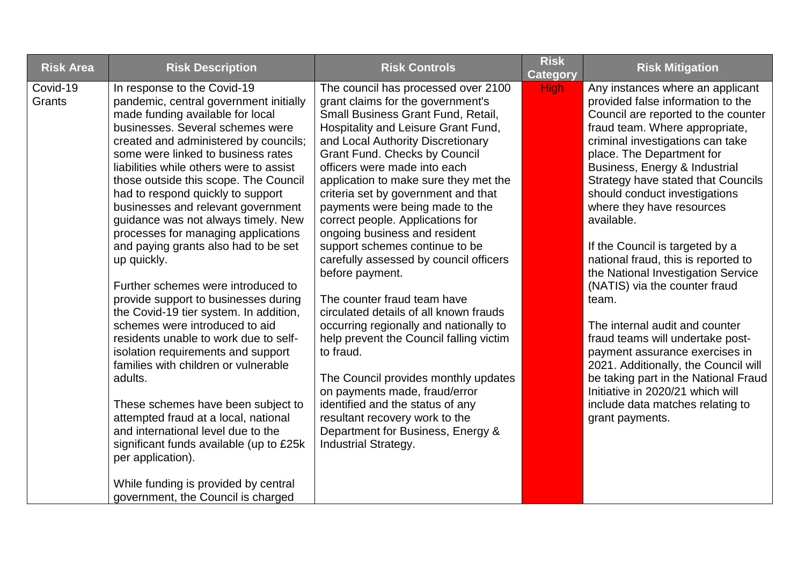| <b>Risk Area</b>   | <b>Risk Description</b>                                                                                                                                                                                                                                                                                                                                                                                                                                                                                                                                                                                                                                                                                                                                                                                                                                                                                                                                                                                                                                                                        | <b>Risk Controls</b>                                                                                                                                                                                                                                                                                                                                                                                                                                                                                                                                                                                                                                                                                                                                                                                                                                                                                                                                    | <b>Risk</b><br><b>Category</b> | <b>Risk Mitigation</b>                                                                                                                                                                                                                                                                                                                                                                                                                                                                                                                                                                                                                                                                                                                                                                                                 |
|--------------------|------------------------------------------------------------------------------------------------------------------------------------------------------------------------------------------------------------------------------------------------------------------------------------------------------------------------------------------------------------------------------------------------------------------------------------------------------------------------------------------------------------------------------------------------------------------------------------------------------------------------------------------------------------------------------------------------------------------------------------------------------------------------------------------------------------------------------------------------------------------------------------------------------------------------------------------------------------------------------------------------------------------------------------------------------------------------------------------------|---------------------------------------------------------------------------------------------------------------------------------------------------------------------------------------------------------------------------------------------------------------------------------------------------------------------------------------------------------------------------------------------------------------------------------------------------------------------------------------------------------------------------------------------------------------------------------------------------------------------------------------------------------------------------------------------------------------------------------------------------------------------------------------------------------------------------------------------------------------------------------------------------------------------------------------------------------|--------------------------------|------------------------------------------------------------------------------------------------------------------------------------------------------------------------------------------------------------------------------------------------------------------------------------------------------------------------------------------------------------------------------------------------------------------------------------------------------------------------------------------------------------------------------------------------------------------------------------------------------------------------------------------------------------------------------------------------------------------------------------------------------------------------------------------------------------------------|
| Covid-19<br>Grants | In response to the Covid-19<br>pandemic, central government initially<br>made funding available for local<br>businesses. Several schemes were<br>created and administered by councils;<br>some were linked to business rates<br>liabilities while others were to assist<br>those outside this scope. The Council<br>had to respond quickly to support<br>businesses and relevant government<br>guidance was not always timely. New<br>processes for managing applications<br>and paying grants also had to be set<br>up quickly.<br>Further schemes were introduced to<br>provide support to businesses during<br>the Covid-19 tier system. In addition,<br>schemes were introduced to aid<br>residents unable to work due to self-<br>isolation requirements and support<br>families with children or vulnerable<br>adults.<br>These schemes have been subject to<br>attempted fraud at a local, national<br>and international level due to the<br>significant funds available (up to £25k<br>per application).<br>While funding is provided by central<br>government, the Council is charged | The council has processed over 2100<br>grant claims for the government's<br>Small Business Grant Fund, Retail,<br>Hospitality and Leisure Grant Fund,<br>and Local Authority Discretionary<br><b>Grant Fund. Checks by Council</b><br>officers were made into each<br>application to make sure they met the<br>criteria set by government and that<br>payments were being made to the<br>correct people. Applications for<br>ongoing business and resident<br>support schemes continue to be<br>carefully assessed by council officers<br>before payment.<br>The counter fraud team have<br>circulated details of all known frauds<br>occurring regionally and nationally to<br>help prevent the Council falling victim<br>to fraud.<br>The Council provides monthly updates<br>on payments made, fraud/error<br>identified and the status of any<br>resultant recovery work to the<br>Department for Business, Energy &<br><b>Industrial Strategy.</b> | <b>High</b>                    | Any instances where an applicant<br>provided false information to the<br>Council are reported to the counter<br>fraud team. Where appropriate,<br>criminal investigations can take<br>place. The Department for<br>Business, Energy & Industrial<br><b>Strategy have stated that Councils</b><br>should conduct investigations<br>where they have resources<br>available.<br>If the Council is targeted by a<br>national fraud, this is reported to<br>the National Investigation Service<br>(NATIS) via the counter fraud<br>team.<br>The internal audit and counter<br>fraud teams will undertake post-<br>payment assurance exercises in<br>2021. Additionally, the Council will<br>be taking part in the National Fraud<br>Initiative in 2020/21 which will<br>include data matches relating to<br>grant payments. |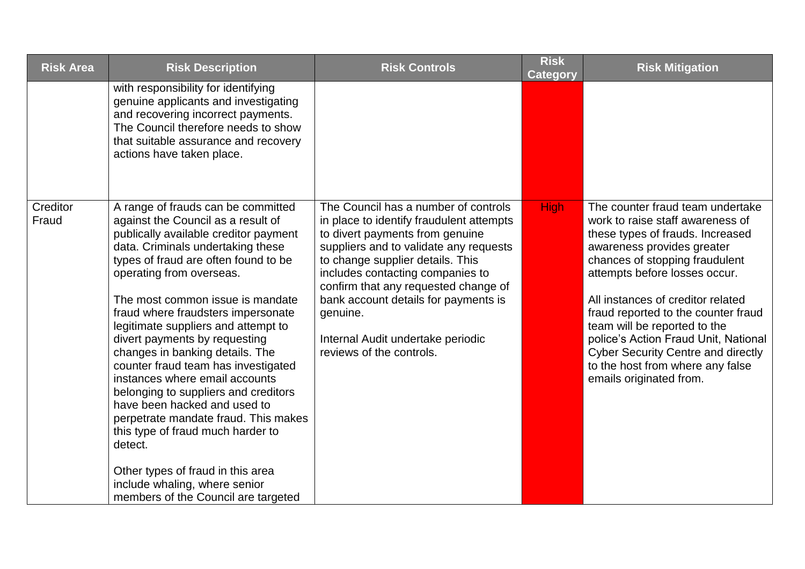| <b>Risk Area</b>  | <b>Risk Description</b>                                                                                                                                                                                                                                                                                                                                                                                                                                                                                                                                                                                                                                                                                                                                               | <b>Risk Controls</b>                                                                                                                                                                                                                                                                                                                                                                               | <b>Risk</b><br>Category | <b>Risk Mitigation</b>                                                                                                                                                                                                                                                                                                                                                                                                                                                    |
|-------------------|-----------------------------------------------------------------------------------------------------------------------------------------------------------------------------------------------------------------------------------------------------------------------------------------------------------------------------------------------------------------------------------------------------------------------------------------------------------------------------------------------------------------------------------------------------------------------------------------------------------------------------------------------------------------------------------------------------------------------------------------------------------------------|----------------------------------------------------------------------------------------------------------------------------------------------------------------------------------------------------------------------------------------------------------------------------------------------------------------------------------------------------------------------------------------------------|-------------------------|---------------------------------------------------------------------------------------------------------------------------------------------------------------------------------------------------------------------------------------------------------------------------------------------------------------------------------------------------------------------------------------------------------------------------------------------------------------------------|
|                   | with responsibility for identifying<br>genuine applicants and investigating<br>and recovering incorrect payments.<br>The Council therefore needs to show<br>that suitable assurance and recovery<br>actions have taken place.                                                                                                                                                                                                                                                                                                                                                                                                                                                                                                                                         |                                                                                                                                                                                                                                                                                                                                                                                                    |                         |                                                                                                                                                                                                                                                                                                                                                                                                                                                                           |
| Creditor<br>Fraud | A range of frauds can be committed<br>against the Council as a result of<br>publically available creditor payment<br>data. Criminals undertaking these<br>types of fraud are often found to be<br>operating from overseas.<br>The most common issue is mandate<br>fraud where fraudsters impersonate<br>legitimate suppliers and attempt to<br>divert payments by requesting<br>changes in banking details. The<br>counter fraud team has investigated<br>instances where email accounts<br>belonging to suppliers and creditors<br>have been hacked and used to<br>perpetrate mandate fraud. This makes<br>this type of fraud much harder to<br>detect.<br>Other types of fraud in this area<br>include whaling, where senior<br>members of the Council are targeted | The Council has a number of controls<br>in place to identify fraudulent attempts<br>to divert payments from genuine<br>suppliers and to validate any requests<br>to change supplier details. This<br>includes contacting companies to<br>confirm that any requested change of<br>bank account details for payments is<br>genuine.<br>Internal Audit undertake periodic<br>reviews of the controls. | <b>High</b>             | The counter fraud team undertake<br>work to raise staff awareness of<br>these types of frauds. Increased<br>awareness provides greater<br>chances of stopping fraudulent<br>attempts before losses occur.<br>All instances of creditor related<br>fraud reported to the counter fraud<br>team will be reported to the<br>police's Action Fraud Unit, National<br><b>Cyber Security Centre and directly</b><br>to the host from where any false<br>emails originated from. |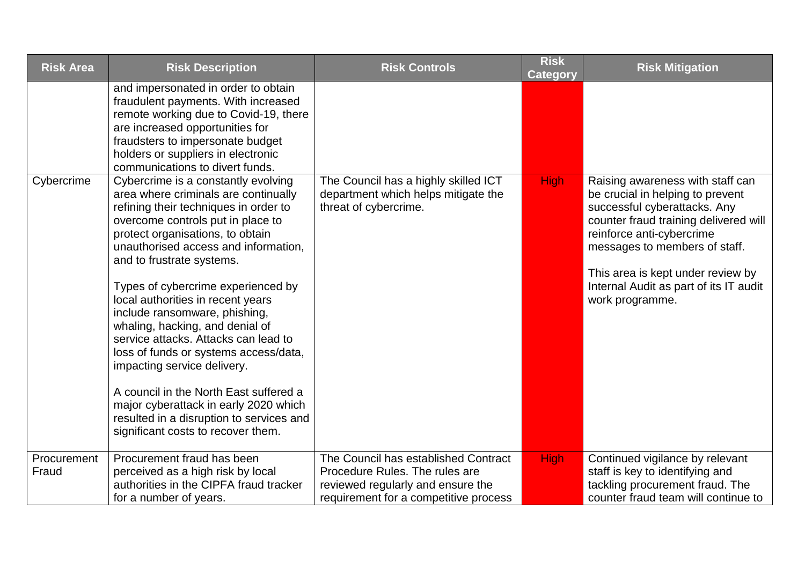| <b>Risk Area</b>     | <b>Risk Description</b>                                                                                                                                                                                                                                                                                                                                                                                                                                                                                                                                                                                                                                                                                | <b>Risk Controls</b>                                                                                                                                 | <b>Risk</b><br><b>Category</b> | <b>Risk Mitigation</b>                                                                                                                                                                                                                                                                                        |
|----------------------|--------------------------------------------------------------------------------------------------------------------------------------------------------------------------------------------------------------------------------------------------------------------------------------------------------------------------------------------------------------------------------------------------------------------------------------------------------------------------------------------------------------------------------------------------------------------------------------------------------------------------------------------------------------------------------------------------------|------------------------------------------------------------------------------------------------------------------------------------------------------|--------------------------------|---------------------------------------------------------------------------------------------------------------------------------------------------------------------------------------------------------------------------------------------------------------------------------------------------------------|
|                      | and impersonated in order to obtain<br>fraudulent payments. With increased<br>remote working due to Covid-19, there<br>are increased opportunities for<br>fraudsters to impersonate budget<br>holders or suppliers in electronic<br>communications to divert funds.                                                                                                                                                                                                                                                                                                                                                                                                                                    |                                                                                                                                                      |                                |                                                                                                                                                                                                                                                                                                               |
| Cybercrime           | Cybercrime is a constantly evolving<br>area where criminals are continually<br>refining their techniques in order to<br>overcome controls put in place to<br>protect organisations, to obtain<br>unauthorised access and information,<br>and to frustrate systems.<br>Types of cybercrime experienced by<br>local authorities in recent years<br>include ransomware, phishing,<br>whaling, hacking, and denial of<br>service attacks. Attacks can lead to<br>loss of funds or systems access/data,<br>impacting service delivery.<br>A council in the North East suffered a<br>major cyberattack in early 2020 which<br>resulted in a disruption to services and<br>significant costs to recover them. | The Council has a highly skilled ICT<br>department which helps mitigate the<br>threat of cybercrime.                                                 | <b>High</b>                    | Raising awareness with staff can<br>be crucial in helping to prevent<br>successful cyberattacks. Any<br>counter fraud training delivered will<br>reinforce anti-cybercrime<br>messages to members of staff.<br>This area is kept under review by<br>Internal Audit as part of its IT audit<br>work programme. |
| Procurement<br>Fraud | Procurement fraud has been<br>perceived as a high risk by local<br>authorities in the CIPFA fraud tracker<br>for a number of years.                                                                                                                                                                                                                                                                                                                                                                                                                                                                                                                                                                    | The Council has established Contract<br>Procedure Rules. The rules are<br>reviewed regularly and ensure the<br>requirement for a competitive process | <b>High</b>                    | Continued vigilance by relevant<br>staff is key to identifying and<br>tackling procurement fraud. The<br>counter fraud team will continue to                                                                                                                                                                  |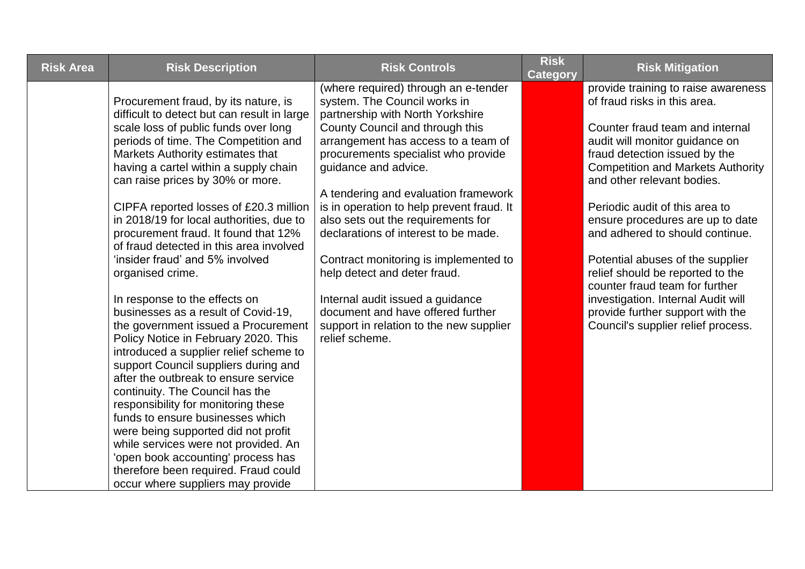| <b>Risk Area</b> | <b>Risk Description</b>                                                                                                                                                                                                                                                                                                                                                                                                                                                                                                                                                                                                                                                                                                                                                                                                                                                                                                                                                                                                                                                                                               | <b>Risk Controls</b>                                                                                                                                                                                                                                                                                                                                                                                                                                                                                                                                                                                                                | <b>Risk</b><br>Category | <b>Risk Mitigation</b>                                                                                                                                                                                                                                                                                                                                                                                                                                                                                                                                                                 |
|------------------|-----------------------------------------------------------------------------------------------------------------------------------------------------------------------------------------------------------------------------------------------------------------------------------------------------------------------------------------------------------------------------------------------------------------------------------------------------------------------------------------------------------------------------------------------------------------------------------------------------------------------------------------------------------------------------------------------------------------------------------------------------------------------------------------------------------------------------------------------------------------------------------------------------------------------------------------------------------------------------------------------------------------------------------------------------------------------------------------------------------------------|-------------------------------------------------------------------------------------------------------------------------------------------------------------------------------------------------------------------------------------------------------------------------------------------------------------------------------------------------------------------------------------------------------------------------------------------------------------------------------------------------------------------------------------------------------------------------------------------------------------------------------------|-------------------------|----------------------------------------------------------------------------------------------------------------------------------------------------------------------------------------------------------------------------------------------------------------------------------------------------------------------------------------------------------------------------------------------------------------------------------------------------------------------------------------------------------------------------------------------------------------------------------------|
|                  | Procurement fraud, by its nature, is<br>difficult to detect but can result in large<br>scale loss of public funds over long<br>periods of time. The Competition and<br>Markets Authority estimates that<br>having a cartel within a supply chain<br>can raise prices by 30% or more.<br>CIPFA reported losses of £20.3 million<br>in 2018/19 for local authorities, due to<br>procurement fraud. It found that 12%<br>of fraud detected in this area involved<br>'insider fraud' and 5% involved<br>organised crime.<br>In response to the effects on<br>businesses as a result of Covid-19,<br>the government issued a Procurement<br>Policy Notice in February 2020. This<br>introduced a supplier relief scheme to<br>support Council suppliers during and<br>after the outbreak to ensure service<br>continuity. The Council has the<br>responsibility for monitoring these<br>funds to ensure businesses which<br>were being supported did not profit<br>while services were not provided. An<br>'open book accounting' process has<br>therefore been required. Fraud could<br>occur where suppliers may provide | (where required) through an e-tender<br>system. The Council works in<br>partnership with North Yorkshire<br>County Council and through this<br>arrangement has access to a team of<br>procurements specialist who provide<br>guidance and advice.<br>A tendering and evaluation framework<br>is in operation to help prevent fraud. It<br>also sets out the requirements for<br>declarations of interest to be made.<br>Contract monitoring is implemented to<br>help detect and deter fraud.<br>Internal audit issued a guidance<br>document and have offered further<br>support in relation to the new supplier<br>relief scheme. |                         | provide training to raise awareness<br>of fraud risks in this area.<br>Counter fraud team and internal<br>audit will monitor guidance on<br>fraud detection issued by the<br><b>Competition and Markets Authority</b><br>and other relevant bodies.<br>Periodic audit of this area to<br>ensure procedures are up to date<br>and adhered to should continue.<br>Potential abuses of the supplier<br>relief should be reported to the<br>counter fraud team for further<br>investigation. Internal Audit will<br>provide further support with the<br>Council's supplier relief process. |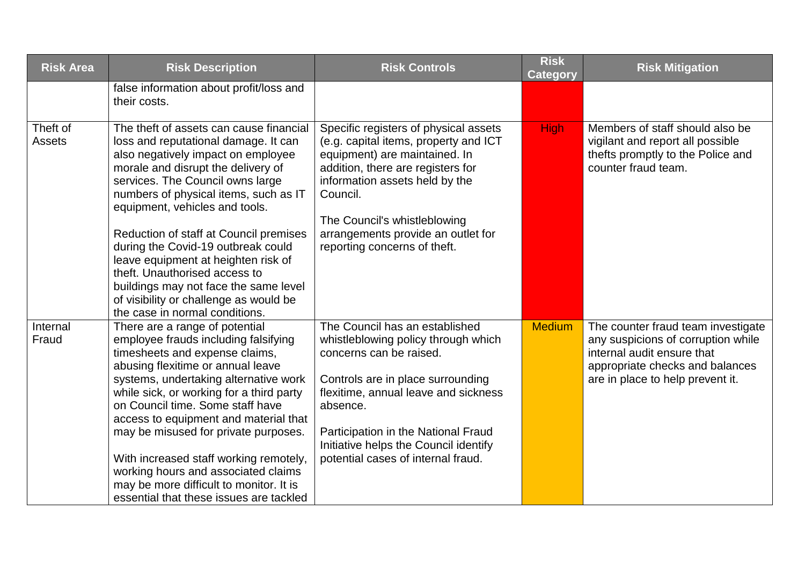| <b>Risk Area</b>          | <b>Risk Description</b>                                                                                                                                                                                                                                                                                                                                                                                                                                                                                                                                 | <b>Risk Controls</b>                                                                                                                                                                                                                                                                                            | <b>Risk</b><br><b>Category</b> | <b>Risk Mitigation</b>                                                                                                                                                        |
|---------------------------|---------------------------------------------------------------------------------------------------------------------------------------------------------------------------------------------------------------------------------------------------------------------------------------------------------------------------------------------------------------------------------------------------------------------------------------------------------------------------------------------------------------------------------------------------------|-----------------------------------------------------------------------------------------------------------------------------------------------------------------------------------------------------------------------------------------------------------------------------------------------------------------|--------------------------------|-------------------------------------------------------------------------------------------------------------------------------------------------------------------------------|
|                           | false information about profit/loss and<br>their costs.                                                                                                                                                                                                                                                                                                                                                                                                                                                                                                 |                                                                                                                                                                                                                                                                                                                 |                                |                                                                                                                                                                               |
| Theft of<br><b>Assets</b> | The theft of assets can cause financial<br>loss and reputational damage. It can<br>also negatively impact on employee<br>morale and disrupt the delivery of<br>services. The Council owns large<br>numbers of physical items, such as IT<br>equipment, vehicles and tools.<br>Reduction of staff at Council premises<br>during the Covid-19 outbreak could<br>leave equipment at heighten risk of<br>theft. Unauthorised access to<br>buildings may not face the same level<br>of visibility or challenge as would be<br>the case in normal conditions. | Specific registers of physical assets<br>(e.g. capital items, property and ICT<br>equipment) are maintained. In<br>addition, there are registers for<br>information assets held by the<br>Council.<br>The Council's whistleblowing<br>arrangements provide an outlet for<br>reporting concerns of theft.        | <b>High</b>                    | Members of staff should also be<br>vigilant and report all possible<br>thefts promptly to the Police and<br>counter fraud team.                                               |
| Internal<br>Fraud         | There are a range of potential<br>employee frauds including falsifying<br>timesheets and expense claims,<br>abusing flexitime or annual leave<br>systems, undertaking alternative work<br>while sick, or working for a third party<br>on Council time. Some staff have<br>access to equipment and material that<br>may be misused for private purposes.<br>With increased staff working remotely,<br>working hours and associated claims<br>may be more difficult to monitor. It is<br>essential that these issues are tackled                          | The Council has an established<br>whistleblowing policy through which<br>concerns can be raised.<br>Controls are in place surrounding<br>flexitime, annual leave and sickness<br>absence.<br>Participation in the National Fraud<br>Initiative helps the Council identify<br>potential cases of internal fraud. | <b>Medium</b>                  | The counter fraud team investigate<br>any suspicions of corruption while<br>internal audit ensure that<br>appropriate checks and balances<br>are in place to help prevent it. |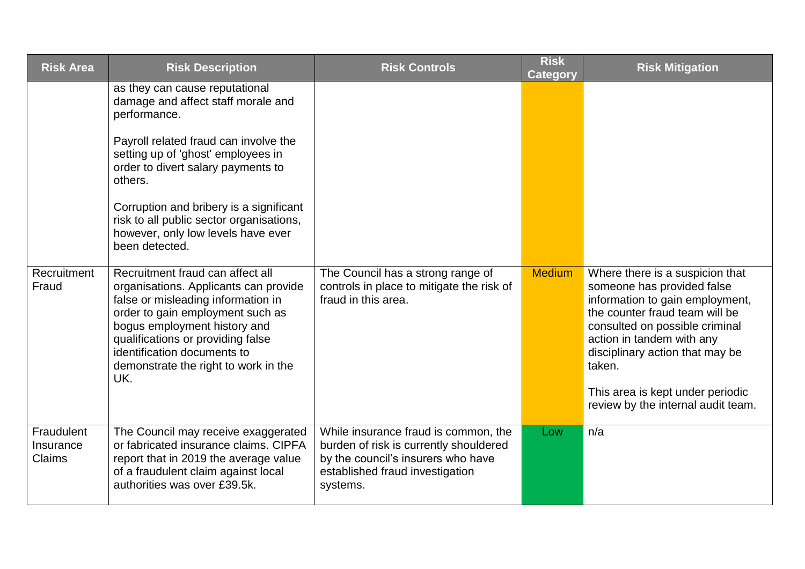| <b>Risk Area</b>                  | <b>Risk Description</b>                                                                                                                                                                                                                                                                                                                                             | <b>Risk Controls</b>                                                                                                                                                | <b>Risk</b><br><b>Category</b> | <b>Risk Mitigation</b>                                                                                                                                                                                                                                                                                                   |
|-----------------------------------|---------------------------------------------------------------------------------------------------------------------------------------------------------------------------------------------------------------------------------------------------------------------------------------------------------------------------------------------------------------------|---------------------------------------------------------------------------------------------------------------------------------------------------------------------|--------------------------------|--------------------------------------------------------------------------------------------------------------------------------------------------------------------------------------------------------------------------------------------------------------------------------------------------------------------------|
|                                   | as they can cause reputational<br>damage and affect staff morale and<br>performance.<br>Payroll related fraud can involve the<br>setting up of 'ghost' employees in<br>order to divert salary payments to<br>others.<br>Corruption and bribery is a significant<br>risk to all public sector organisations,<br>however, only low levels have ever<br>been detected. |                                                                                                                                                                     |                                |                                                                                                                                                                                                                                                                                                                          |
| Recruitment<br>Fraud              | Recruitment fraud can affect all<br>organisations. Applicants can provide<br>false or misleading information in<br>order to gain employment such as<br>bogus employment history and<br>qualifications or providing false<br>identification documents to<br>demonstrate the right to work in the<br>UK.                                                              | The Council has a strong range of<br>controls in place to mitigate the risk of<br>fraud in this area.                                                               | <b>Medium</b>                  | Where there is a suspicion that<br>someone has provided false<br>information to gain employment,<br>the counter fraud team will be<br>consulted on possible criminal<br>action in tandem with any<br>disciplinary action that may be<br>taken.<br>This area is kept under periodic<br>review by the internal audit team. |
| Fraudulent<br>Insurance<br>Claims | The Council may receive exaggerated<br>or fabricated insurance claims. CIPFA<br>report that in 2019 the average value<br>of a fraudulent claim against local<br>authorities was over £39.5k.                                                                                                                                                                        | While insurance fraud is common, the<br>burden of risk is currently shouldered<br>by the council's insurers who have<br>established fraud investigation<br>systems. | Low                            | n/a                                                                                                                                                                                                                                                                                                                      |